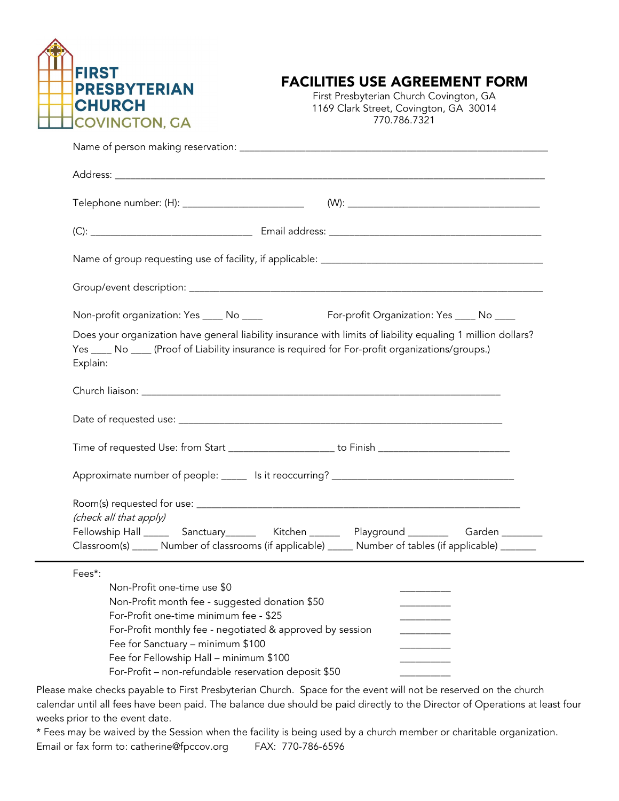

## FACILITIES USE AGREEMENT FORM

First Presbyterian Church Covington, GA 1169 Clark Street, Covington, GA 30014 770.786.7321

| Telephone number: (H): ____________________________                                                                                                                                                                                                                                                                                    |                                           |
|----------------------------------------------------------------------------------------------------------------------------------------------------------------------------------------------------------------------------------------------------------------------------------------------------------------------------------------|-------------------------------------------|
|                                                                                                                                                                                                                                                                                                                                        |                                           |
|                                                                                                                                                                                                                                                                                                                                        |                                           |
|                                                                                                                                                                                                                                                                                                                                        |                                           |
| Non-profit organization: Yes ____ No ____                                                                                                                                                                                                                                                                                              | For-profit Organization: Yes ____ No ____ |
| Does your organization have general liability insurance with limits of liability equaling 1 million dollars?<br>Yes ____ No ____ (Proof of Liability insurance is required for For-profit organizations/groups.)<br>Explain:                                                                                                           |                                           |
|                                                                                                                                                                                                                                                                                                                                        |                                           |
|                                                                                                                                                                                                                                                                                                                                        |                                           |
|                                                                                                                                                                                                                                                                                                                                        |                                           |
|                                                                                                                                                                                                                                                                                                                                        |                                           |
| (check all that apply)<br>Fellowship Hall ________ Sanctuary____________ Kitchen ____________ Playground _______________ Garden ________                                                                                                                                                                                               |                                           |
| Classroom(s) _____ Number of classrooms (if applicable) _____ Number of tables (if applicable) ______                                                                                                                                                                                                                                  |                                           |
| Fees*:<br>Non-Profit one-time use \$0<br>Non-Profit month fee - suggested donation \$50<br>For-Profit one-time minimum fee - \$25<br>For-Profit monthly fee - negotiated & approved by session<br>Fee for Sanctuary - minimum \$100<br>Fee for Fellowship Hall - minimum \$100<br>For-Profit - non-refundable reservation deposit \$50 |                                           |

Please make checks payable to First Presbyterian Church. Space for the event will not be reserved on the church calendar until all fees have been paid. The balance due should be paid directly to the Director of Operations at least four weeks prior to the event date.

\* Fees may be waived by the Session when the facility is being used by a church member or charitable organization. Email or fax form to: catherine@fpccov.org FAX: 770-786-6596